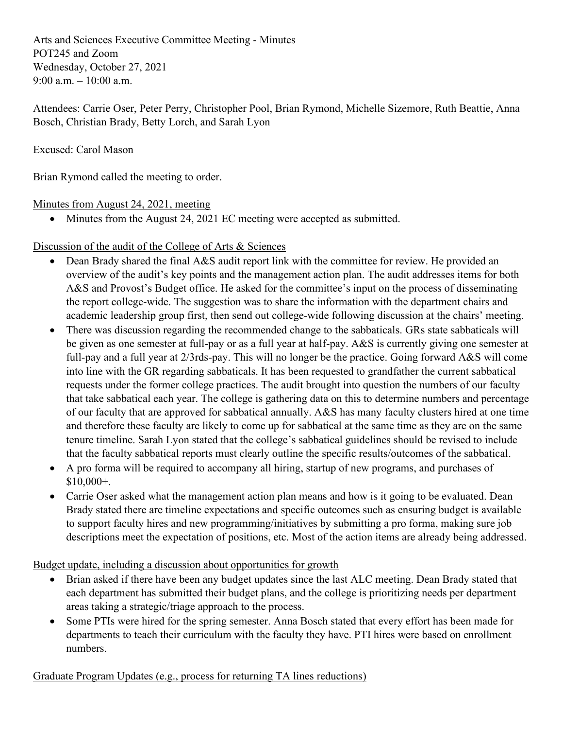Arts and Sciences Executive Committee Meeting - Minutes POT245 and Zoom Wednesday, October 27, 2021 9:00 a.m.  $-10:00$  a.m.

Attendees: Carrie Oser, Peter Perry, Christopher Pool, Brian Rymond, Michelle Sizemore, Ruth Beattie, Anna Bosch, Christian Brady, Betty Lorch, and Sarah Lyon

Excused: Carol Mason

Brian Rymond called the meeting to order.

Minutes from August 24, 2021, meeting

• Minutes from the August 24, 2021 EC meeting were accepted as submitted.

Discussion of the audit of the College of Arts & Sciences

- Dean Brady shared the final A&S audit report link with the committee for review. He provided an overview of the audit's key points and the management action plan. The audit addresses items for both A&S and Provost's Budget office. He asked for the committee's input on the process of disseminating the report college-wide. The suggestion was to share the information with the department chairs and academic leadership group first, then send out college-wide following discussion at the chairs' meeting.
- There was discussion regarding the recommended change to the sabbaticals. GRs state sabbaticals will be given as one semester at full-pay or as a full year at half-pay. A&S is currently giving one semester at full-pay and a full year at 2/3rds-pay. This will no longer be the practice. Going forward A&S will come into line with the GR regarding sabbaticals. It has been requested to grandfather the current sabbatical requests under the former college practices. The audit brought into question the numbers of our faculty that take sabbatical each year. The college is gathering data on this to determine numbers and percentage of our faculty that are approved for sabbatical annually. A&S has many faculty clusters hired at one time and therefore these faculty are likely to come up for sabbatical at the same time as they are on the same tenure timeline. Sarah Lyon stated that the college's sabbatical guidelines should be revised to include that the faculty sabbatical reports must clearly outline the specific results/outcomes of the sabbatical.
- A pro forma will be required to accompany all hiring, startup of new programs, and purchases of \$10,000+.
- Carrie Oser asked what the management action plan means and how is it going to be evaluated. Dean Brady stated there are timeline expectations and specific outcomes such as ensuring budget is available to support faculty hires and new programming/initiatives by submitting a pro forma, making sure job descriptions meet the expectation of positions, etc. Most of the action items are already being addressed.

Budget update, including a discussion about opportunities for growth

- Brian asked if there have been any budget updates since the last ALC meeting. Dean Brady stated that each department has submitted their budget plans, and the college is prioritizing needs per department areas taking a strategic/triage approach to the process.
- Some PTIs were hired for the spring semester. Anna Bosch stated that every effort has been made for departments to teach their curriculum with the faculty they have. PTI hires were based on enrollment numbers.

Graduate Program Updates (e.g., process for returning TA lines reductions)